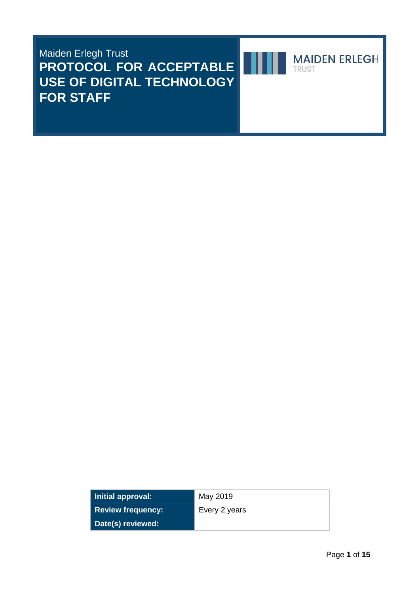# Maiden Erlegh Trust **PROTOCOL FOR ACCEPTABLE USE OF DIGITAL TECHNOLOGY FOR STAFF**



**MAIDEN ERLEGH** TRUST

| Initial approval:        | May 2019      |
|--------------------------|---------------|
| <b>Review frequency:</b> | Every 2 years |
| Date(s) reviewed:        |               |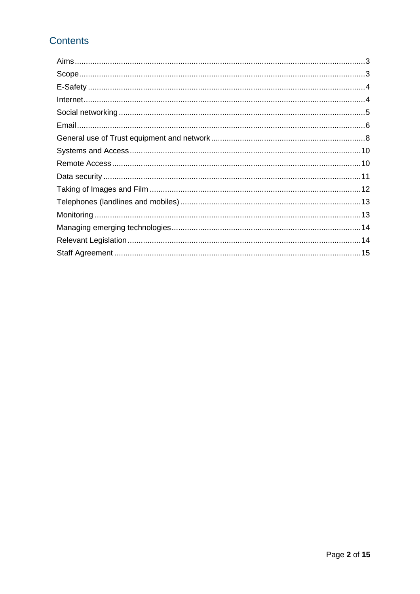# **Contents**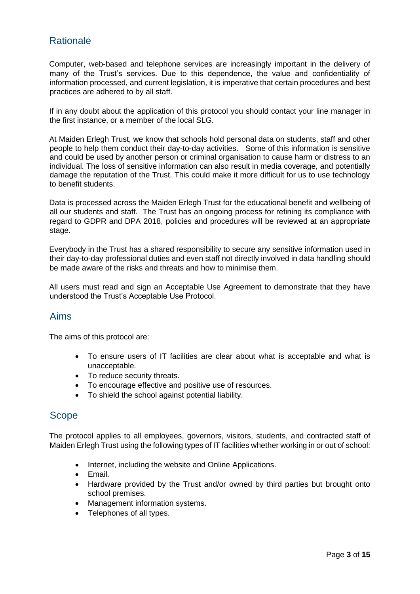## **Rationale**

Computer, web-based and telephone services are increasingly important in the delivery of many of the Trust's services. Due to this dependence, the value and confidentiality of information processed, and current legislation, it is imperative that certain procedures and best practices are adhered to by all staff.

If in any doubt about the application of this protocol you should contact your line manager in the first instance, or a member of the local SLG.

At Maiden Erlegh Trust, we know that schools hold personal data on students, staff and other people to help them conduct their day-to-day activities. Some of this information is sensitive and could be used by another person or criminal organisation to cause harm or distress to an individual. The loss of sensitive information can also result in media coverage, and potentially damage the reputation of the Trust. This could make it more difficult for us to use technology to benefit students.

Data is processed across the Maiden Erlegh Trust for the educational benefit and wellbeing of all our students and staff. The Trust has an ongoing process for refining its compliance with regard to GDPR and DPA 2018, policies and procedures will be reviewed at an appropriate stage.

Everybody in the Trust has a shared responsibility to secure any sensitive information used in their day-to-day professional duties and even staff not directly involved in data handling should be made aware of the risks and threats and how to minimise them.

All users must read and sign an Acceptable Use Agreement to demonstrate that they have understood the Trust's Acceptable Use Protocol.

### <span id="page-2-0"></span>Aims

The aims of this protocol are:

- To ensure users of IT facilities are clear about what is acceptable and what is unacceptable.
- To reduce security threats.
- To encourage effective and positive use of resources.
- To shield the school against potential liability.

### <span id="page-2-1"></span>Scope

The protocol applies to all employees, governors, visitors, students, and contracted staff of Maiden Erlegh Trust using the following types of IT facilities whether working in or out of school:

- Internet, including the website and Online Applications.
- Email.
- Hardware provided by the Trust and/or owned by third parties but brought onto school premises.
- Management information systems.
- Telephones of all types.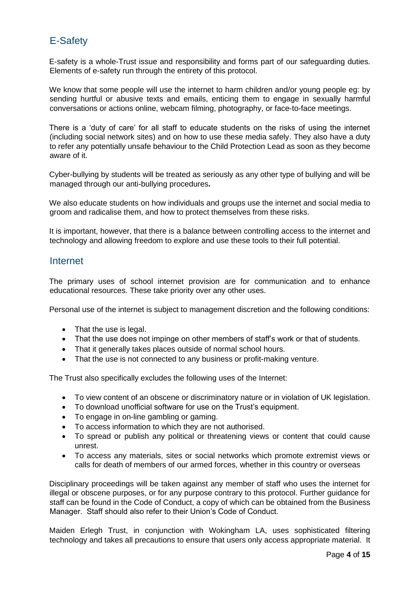# <span id="page-3-0"></span>E-Safety

E-safety is a whole-Trust issue and responsibility and forms part of our safeguarding duties. Elements of e-safety run through the entirety of this protocol.

We know that some people will use the internet to harm children and/or young people eg: by sending hurtful or abusive texts and emails, enticing them to engage in sexually harmful conversations or actions online, webcam filming, photography, or face-to-face meetings.

There is a 'duty of care' for all staff to educate students on the risks of using the internet (including social network sites) and on how to use these media safely. They also have a duty to refer any potentially unsafe behaviour to the Child Protection Lead as soon as they become aware of it.

Cyber-bullying by students will be treated as seriously as any other type of bullying and will be managed through our anti-bullying procedures**.**

We also educate students on how individuals and groups use the internet and social media to groom and radicalise them, and how to protect themselves from these risks.

It is important, however, that there is a balance between controlling access to the internet and technology and allowing freedom to explore and use these tools to their full potential.

### <span id="page-3-1"></span>Internet

The primary uses of school internet provision are for communication and to enhance educational resources. These take priority over any other uses.

Personal use of the internet is subject to management discretion and the following conditions:

- That the use is legal.
- That the use does not impinge on other members of staff's work or that of students.
- That it generally takes places outside of normal school hours.
- That the use is not connected to any business or profit-making venture.

The Trust also specifically excludes the following uses of the Internet:

- To view content of an obscene or discriminatory nature or in violation of UK legislation.
- To download unofficial software for use on the Trust's equipment.
- To engage in on-line gambling or gaming.
- To access information to which they are not authorised.
- To spread or publish any political or threatening views or content that could cause unrest.
- To access any materials, sites or social networks which promote extremist views or calls for death of members of our armed forces, whether in this country or overseas

Disciplinary proceedings will be taken against any member of staff who uses the internet for illegal or obscene purposes, or for any purpose contrary to this protocol. Further guidance for staff can be found in the Code of Conduct, a copy of which can be obtained from the Business Manager. Staff should also refer to their Union's Code of Conduct.

Maiden Erlegh Trust, in conjunction with Wokingham LA, uses sophisticated filtering technology and takes all precautions to ensure that users only access appropriate material. It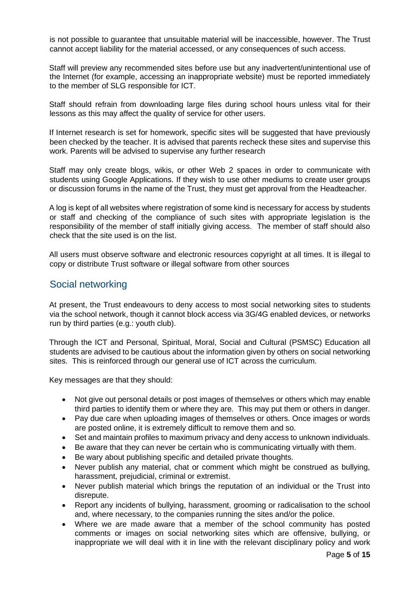is not possible to guarantee that unsuitable material will be inaccessible, however. The Trust cannot accept liability for the material accessed, or any consequences of such access.

Staff will preview any recommended sites before use but any inadvertent/unintentional use of the Internet (for example, accessing an inappropriate website) must be reported immediately to the member of SLG responsible for ICT.

Staff should refrain from downloading large files during school hours unless vital for their lessons as this may affect the quality of service for other users.

If Internet research is set for homework, specific sites will be suggested that have previously been checked by the teacher. It is advised that parents recheck these sites and supervise this work. Parents will be advised to supervise any further research

Staff may only create blogs, wikis, or other Web 2 spaces in order to communicate with students using Google Applications. If they wish to use other mediums to create user groups or discussion forums in the name of the Trust, they must get approval from the Headteacher.

A log is kept of all websites where registration of some kind is necessary for access by students or staff and checking of the compliance of such sites with appropriate legislation is the responsibility of the member of staff initially giving access. The member of staff should also check that the site used is on the list.

All users must observe software and electronic resources copyright at all times. It is illegal to copy or distribute Trust software or illegal software from other sources

### <span id="page-4-0"></span>Social networking

At present, the Trust endeavours to deny access to most social networking sites to students via the school network, though it cannot block access via 3G/4G enabled devices, or networks run by third parties (e.g.: youth club).

Through the ICT and Personal, Spiritual, Moral, Social and Cultural (PSMSC) Education all students are advised to be cautious about the information given by others on social networking sites. This is reinforced through our general use of ICT across the curriculum.

Key messages are that they should:

- Not give out personal details or post images of themselves or others which may enable third parties to identify them or where they are. This may put them or others in danger.
- Pay due care when uploading images of themselves or others. Once images or words are posted online, it is extremely difficult to remove them and so.
- Set and maintain profiles to maximum privacy and deny access to unknown individuals.
- Be aware that they can never be certain who is communicating virtually with them.
- Be wary about publishing specific and detailed private thoughts.
- Never publish any material, chat or comment which might be construed as bullying, harassment, prejudicial, criminal or extremist.
- Never publish material which brings the reputation of an individual or the Trust into disrepute.
- Report any incidents of bullying, harassment, grooming or radicalisation to the school and, where necessary, to the companies running the sites and/or the police.
- Where we are made aware that a member of the school community has posted comments or images on social networking sites which are offensive, bullying, or inappropriate we will deal with it in line with the relevant disciplinary policy and work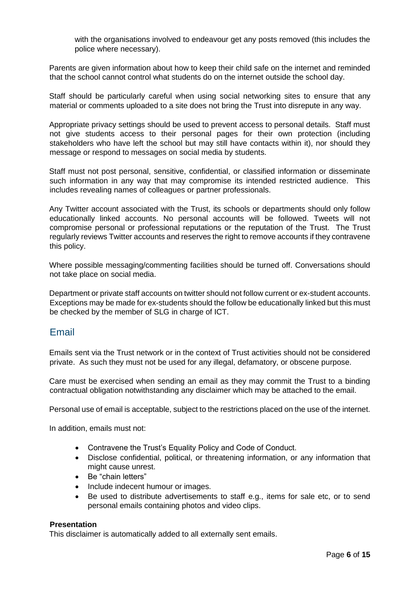with the organisations involved to endeavour get any posts removed (this includes the police where necessary).

Parents are given information about how to keep their child safe on the internet and reminded that the school cannot control what students do on the internet outside the school day.

Staff should be particularly careful when using social networking sites to ensure that any material or comments uploaded to a site does not bring the Trust into disrepute in any way.

Appropriate privacy settings should be used to prevent access to personal details. Staff must not give students access to their personal pages for their own protection (including stakeholders who have left the school but may still have contacts within it), nor should they message or respond to messages on social media by students.

Staff must not post personal, sensitive, confidential, or classified information or disseminate such information in any way that may compromise its intended restricted audience. This includes revealing names of colleagues or partner professionals.

Any Twitter account associated with the Trust, its schools or departments should only follow educationally linked accounts. No personal accounts will be followed. Tweets will not compromise personal or professional reputations or the reputation of the Trust. The Trust regularly reviews Twitter accounts and reserves the right to remove accounts if they contravene this policy.

Where possible messaging/commenting facilities should be turned off. Conversations should not take place on social media.

Department or private staff accounts on twitter should not follow current or ex-student accounts. Exceptions may be made for ex-students should the follow be educationally linked but this must be checked by the member of SLG in charge of ICT.

### <span id="page-5-0"></span>Email

Emails sent via the Trust network or in the context of Trust activities should not be considered private. As such they must not be used for any illegal, defamatory, or obscene purpose.

Care must be exercised when sending an email as they may commit the Trust to a binding contractual obligation notwithstanding any disclaimer which may be attached to the email.

Personal use of email is acceptable, subject to the restrictions placed on the use of the internet.

In addition, emails must not:

- Contravene the Trust's Equality Policy and Code of Conduct.
- Disclose confidential, political, or threatening information, or any information that might cause unrest.
- Be "chain letters"
- Include indecent humour or images.
- Be used to distribute advertisements to staff e.g., items for sale etc, or to send personal emails containing photos and video clips.

#### **Presentation**

This disclaimer is automatically added to all externally sent emails.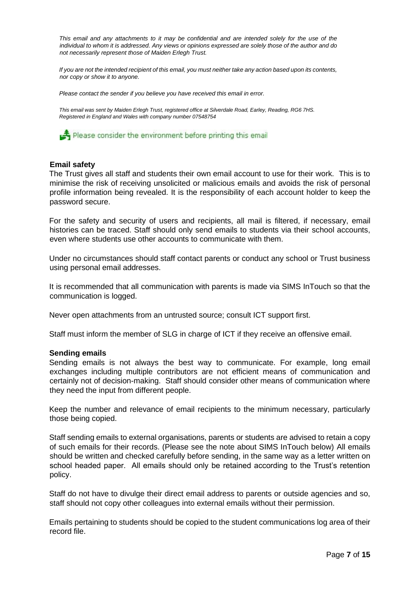*This email and any attachments to it may be confidential and are intended solely for the use of the individual to whom it is addressed. Any views or opinions expressed are solely those of the author and do not necessarily represent those of Maiden Erlegh Trust.* 

*If you are not the intended recipient of this email, you must neither take any action based upon its contents, nor copy or show it to anyone.* 

*Please contact the sender if you believe you have received this email in error.* 

*This email was sent by Maiden Erlegh Trust, registered office at Silverdale Road, Earley, Reading, RG6 7HS. Registered in England and Wales with company number 07548754* 

Please consider the environment before printing this email

#### **Email safety**

The Trust gives all staff and students their own email account to use for their work. This is to minimise the risk of receiving unsolicited or malicious emails and avoids the risk of personal profile information being revealed. It is the responsibility of each account holder to keep the password secure.

For the safety and security of users and recipients, all mail is filtered, if necessary, email histories can be traced. Staff should only send emails to students via their school accounts, even where students use other accounts to communicate with them.

Under no circumstances should staff contact parents or conduct any school or Trust business using personal email addresses.

It is recommended that all communication with parents is made via SIMS InTouch so that the communication is logged.

Never open attachments from an untrusted source; consult ICT support first.

Staff must inform the member of SLG in charge of ICT if they receive an offensive email.

#### **Sending emails**

Sending emails is not always the best way to communicate. For example, long email exchanges including multiple contributors are not efficient means of communication and certainly not of decision-making. Staff should consider other means of communication where they need the input from different people.

Keep the number and relevance of email recipients to the minimum necessary, particularly those being copied.

Staff sending emails to external organisations, parents or students are advised to retain a copy of such emails for their records. (Please see the note about SIMS InTouch below) All emails should be written and checked carefully before sending, in the same way as a letter written on school headed paper. All emails should only be retained according to the Trust's retention policy.

Staff do not have to divulge their direct email address to parents or outside agencies and so, staff should not copy other colleagues into external emails without their permission.

Emails pertaining to students should be copied to the student communications log area of their record file.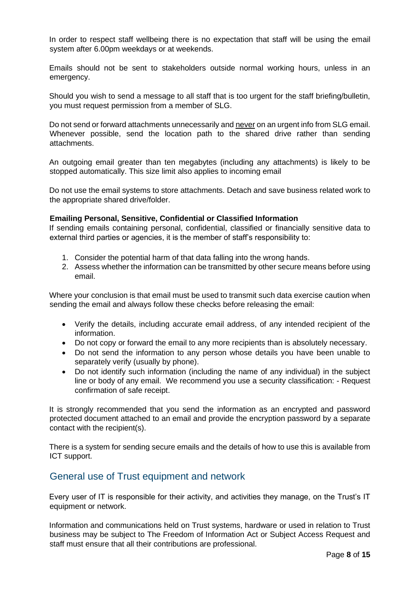In order to respect staff wellbeing there is no expectation that staff will be using the email system after 6.00pm weekdays or at weekends.

Emails should not be sent to stakeholders outside normal working hours, unless in an emergency.

Should you wish to send a message to all staff that is too urgent for the staff briefing/bulletin, you must request permission from a member of SLG.

Do not send or forward attachments unnecessarily and never on an urgent info from SLG email. Whenever possible, send the location path to the shared drive rather than sending attachments.

An outgoing email greater than ten megabytes (including any attachments) is likely to be stopped automatically. This size limit also applies to incoming email

Do not use the email systems to store attachments. Detach and save business related work to the appropriate shared drive/folder.

#### **Emailing Personal, Sensitive, Confidential or Classified Information**

If sending emails containing personal, confidential, classified or financially sensitive data to external third parties or agencies, it is the member of staff's responsibility to:

- 1. Consider the potential harm of that data falling into the wrong hands.
- 2. Assess whether the information can be transmitted by other secure means before using email.

Where your conclusion is that email must be used to transmit such data exercise caution when sending the email and always follow these checks before releasing the email:

- Verify the details, including accurate email address, of any intended recipient of the information.
- Do not copy or forward the email to any more recipients than is absolutely necessary.
- Do not send the information to any person whose details you have been unable to separately verify (usually by phone).
- Do not identify such information (including the name of any individual) in the subject line or body of any email. We recommend you use a security classification: - Request confirmation of safe receipt.

It is strongly recommended that you send the information as an encrypted and password protected document attached to an email and provide the encryption password by a separate contact with the recipient(s).

There is a system for sending secure emails and the details of how to use this is available from ICT support.

### <span id="page-7-0"></span>General use of Trust equipment and network

Every user of IT is responsible for their activity, and activities they manage, on the Trust's IT equipment or network.

Information and communications held on Trust systems, hardware or used in relation to Trust business may be subject to The Freedom of Information Act or Subject Access Request and staff must ensure that all their contributions are professional.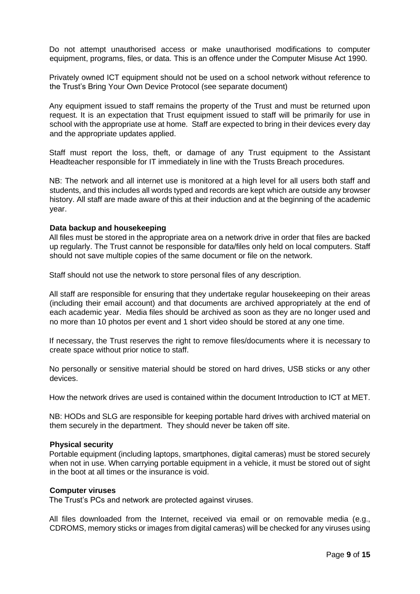Do not attempt unauthorised access or make unauthorised modifications to computer equipment, programs, files, or data. This is an offence under the Computer Misuse Act 1990.

Privately owned ICT equipment should not be used on a school network without reference to the Trust's Bring Your Own Device Protocol (see separate document)

Any equipment issued to staff remains the property of the Trust and must be returned upon request. It is an expectation that Trust equipment issued to staff will be primarily for use in school with the appropriate use at home. Staff are expected to bring in their devices every day and the appropriate updates applied.

Staff must report the loss, theft, or damage of any Trust equipment to the Assistant Headteacher responsible for IT immediately in line with the Trusts Breach procedures.

NB: The network and all internet use is monitored at a high level for all users both staff and students, and this includes all words typed and records are kept which are outside any browser history. All staff are made aware of this at their induction and at the beginning of the academic year.

#### **Data backup and housekeeping**

All files must be stored in the appropriate area on a network drive in order that files are backed up regularly. The Trust cannot be responsible for data/files only held on local computers. Staff should not save multiple copies of the same document or file on the network.

Staff should not use the network to store personal files of any description.

All staff are responsible for ensuring that they undertake regular housekeeping on their areas (including their email account) and that documents are archived appropriately at the end of each academic year. Media files should be archived as soon as they are no longer used and no more than 10 photos per event and 1 short video should be stored at any one time.

If necessary, the Trust reserves the right to remove files/documents where it is necessary to create space without prior notice to staff.

No personally or sensitive material should be stored on hard drives, USB sticks or any other devices.

How the network drives are used is contained within the document Introduction to ICT at MET.

NB: HODs and SLG are responsible for keeping portable hard drives with archived material on them securely in the department. They should never be taken off site.

#### **Physical security**

Portable equipment (including laptops, smartphones, digital cameras) must be stored securely when not in use. When carrying portable equipment in a vehicle, it must be stored out of sight in the boot at all times or the insurance is void.

#### **Computer viruses**

The Trust's PCs and network are protected against viruses.

All files downloaded from the Internet, received via email or on removable media (e.g., CDROMS, memory sticks or images from digital cameras) will be checked for any viruses using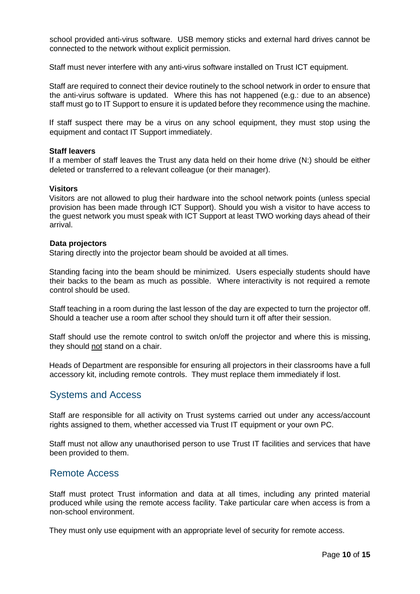school provided anti-virus software. USB memory sticks and external hard drives cannot be connected to the network without explicit permission.

Staff must never interfere with any anti-virus software installed on Trust ICT equipment.

Staff are required to connect their device routinely to the school network in order to ensure that the anti-virus software is updated. Where this has not happened (e.g.: due to an absence) staff must go to IT Support to ensure it is updated before they recommence using the machine.

If staff suspect there may be a virus on any school equipment, they must stop using the equipment and contact IT Support immediately.

#### **Staff leavers**

If a member of staff leaves the Trust any data held on their home drive (N:) should be either deleted or transferred to a relevant colleague (or their manager).

#### **Visitors**

Visitors are not allowed to plug their hardware into the school network points (unless special provision has been made through ICT Support). Should you wish a visitor to have access to the guest network you must speak with ICT Support at least TWO working days ahead of their arrival.

#### **Data projectors**

Staring directly into the projector beam should be avoided at all times.

Standing facing into the beam should be minimized. Users especially students should have their backs to the beam as much as possible. Where interactivity is not required a remote control should be used.

Staff teaching in a room during the last lesson of the day are expected to turn the projector off. Should a teacher use a room after school they should turn it off after their session.

Staff should use the remote control to switch on/off the projector and where this is missing, they should not stand on a chair.

Heads of Department are responsible for ensuring all projectors in their classrooms have a full accessory kit, including remote controls. They must replace them immediately if lost.

### <span id="page-9-0"></span>Systems and Access

Staff are responsible for all activity on Trust systems carried out under any access/account rights assigned to them, whether accessed via Trust IT equipment or your own PC.

Staff must not allow any unauthorised person to use Trust IT facilities and services that have been provided to them.

### <span id="page-9-1"></span>Remote Access

Staff must protect Trust information and data at all times, including any printed material produced while using the remote access facility. Take particular care when access is from a non-school environment.

They must only use equipment with an appropriate level of security for remote access.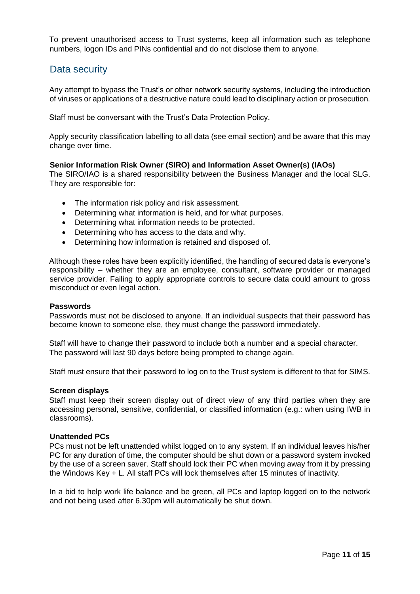To prevent unauthorised access to Trust systems, keep all information such as telephone numbers, logon IDs and PINs confidential and do not disclose them to anyone.

### <span id="page-10-0"></span>Data security

Any attempt to bypass the Trust's or other network security systems, including the introduction of viruses or applications of a destructive nature could lead to disciplinary action or prosecution.

Staff must be conversant with the Trust's Data Protection Policy.

Apply security classification labelling to all data (see email section) and be aware that this may change over time.

#### **Senior Information Risk Owner (SIRO) and Information Asset Owner(s) (IAOs)**

The SIRO/IAO is a shared responsibility between the Business Manager and the local SLG. They are responsible for:

- The information risk policy and risk assessment.
- Determining what information is held, and for what purposes.
- Determining what information needs to be protected.
- Determining who has access to the data and why.
- Determining how information is retained and disposed of.

Although these roles have been explicitly identified, the handling of secured data is everyone's responsibility – whether they are an employee, consultant, software provider or managed service provider. Failing to apply appropriate controls to secure data could amount to gross misconduct or even legal action.

#### **Passwords**

Passwords must not be disclosed to anyone. If an individual suspects that their password has become known to someone else, they must change the password immediately.

Staff will have to change their password to include both a number and a special character. The password will last 90 days before being prompted to change again.

Staff must ensure that their password to log on to the Trust system is different to that for SIMS.

#### **Screen displays**

Staff must keep their screen display out of direct view of any third parties when they are accessing personal, sensitive, confidential, or classified information (e.g.: when using IWB in classrooms).

#### **Unattended PCs**

PCs must not be left unattended whilst logged on to any system. If an individual leaves his/her PC for any duration of time, the computer should be shut down or a password system invoked by the use of a screen saver. Staff should lock their PC when moving away from it by pressing the Windows Key + L. All staff PCs will lock themselves after 15 minutes of inactivity.

In a bid to help work life balance and be green, all PCs and laptop logged on to the network and not being used after 6.30pm will automatically be shut down.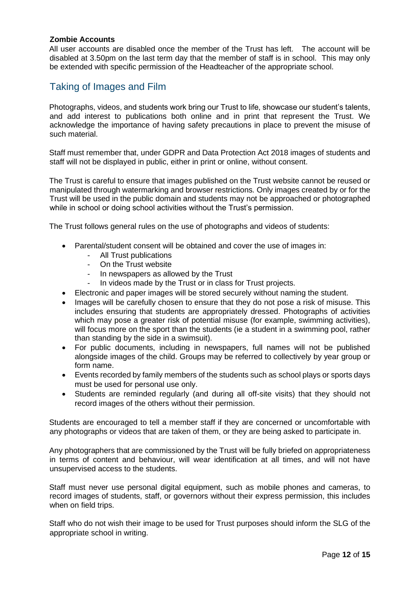#### **Zombie Accounts**

All user accounts are disabled once the member of the Trust has left. The account will be disabled at 3.50pm on the last term day that the member of staff is in school. This may only be extended with specific permission of the Headteacher of the appropriate school.

### <span id="page-11-0"></span>Taking of Images and Film

Photographs, videos, and students work bring our Trust to life, showcase our student's talents, and add interest to publications both online and in print that represent the Trust. We acknowledge the importance of having safety precautions in place to prevent the misuse of such material.

Staff must remember that, under GDPR and Data Protection Act 2018 images of students and staff will not be displayed in public, either in print or online, without consent.

The Trust is careful to ensure that images published on the Trust website cannot be reused or manipulated through watermarking and browser restrictions*.* Only images created by or for the Trust will be used in the public domain and students may not be approached or photographed while in school or doing school activities without the Trust's permission.

The Trust follows general rules on the use of photographs and videos of students:

- Parental/student consent will be obtained and cover the use of images in:
	- All Trust publications
	- On the Trust website
	- In newspapers as allowed by the Trust
	- In videos made by the Trust or in class for Trust projects.
- Electronic and paper images will be stored securely without naming the student.
- Images will be carefully chosen to ensure that they do not pose a risk of misuse. This includes ensuring that students are appropriately dressed. Photographs of activities which may pose a greater risk of potential misuse (for example, swimming activities), will focus more on the sport than the students (ie a student in a swimming pool, rather than standing by the side in a swimsuit).
- For public documents, including in newspapers, full names will not be published alongside images of the child. Groups may be referred to collectively by year group or form name.
- Events recorded by family members of the students such as school plays or sports days must be used for personal use only.
- Students are reminded regularly (and during all off-site visits) that they should not record images of the others without their permission.

Students are encouraged to tell a member staff if they are concerned or uncomfortable with any photographs or videos that are taken of them, or they are being asked to participate in.

Any photographers that are commissioned by the Trust will be fully briefed on appropriateness in terms of content and behaviour, will wear identification at all times, and will not have unsupervised access to the students.

Staff must never use personal digital equipment, such as mobile phones and cameras, to record images of students, staff, or governors without their express permission, this includes when on field trips.

Staff who do not wish their image to be used for Trust purposes should inform the SLG of the appropriate school in writing.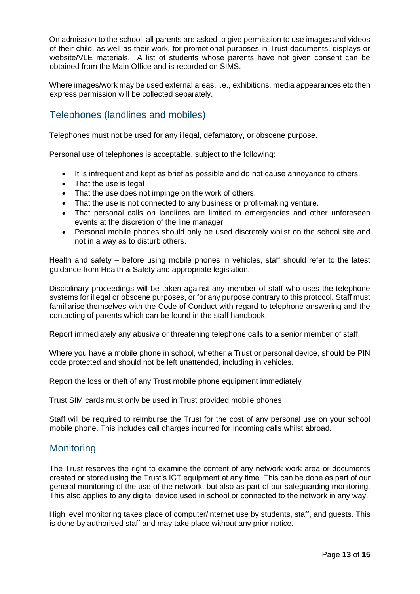On admission to the school, all parents are asked to give permission to use images and videos of their child, as well as their work, for promotional purposes in Trust documents, displays or website/VLE materials. A list of students whose parents have not given consent can be obtained from the Main Office and is recorded on SIMS.

Where images/work may be used external areas, i.e., exhibitions, media appearances etc then express permission will be collected separately.

# <span id="page-12-0"></span>Telephones (landlines and mobiles)

Telephones must not be used for any illegal, defamatory, or obscene purpose.

Personal use of telephones is acceptable, subject to the following:

- It is infrequent and kept as brief as possible and do not cause annoyance to others.
- That the use is legal
- That the use does not impinge on the work of others.
- That the use is not connected to any business or profit-making venture.
- That personal calls on landlines are limited to emergencies and other unforeseen events at the discretion of the line manager.
- Personal mobile phones should only be used discretely whilst on the school site and not in a way as to disturb others.

Health and safety – before using mobile phones in vehicles, staff should refer to the latest guidance from Health & Safety and appropriate legislation.

Disciplinary proceedings will be taken against any member of staff who uses the telephone systems for illegal or obscene purposes, or for any purpose contrary to this protocol. Staff must familiarise themselves with the Code of Conduct with regard to telephone answering and the contacting of parents which can be found in the staff handbook.

Report immediately any abusive or threatening telephone calls to a senior member of staff.

Where you have a mobile phone in school, whether a Trust or personal device, should be PIN code protected and should not be left unattended, including in vehicles.

Report the loss or theft of any Trust mobile phone equipment immediately

Trust SIM cards must only be used in Trust provided mobile phones

Staff will be required to reimburse the Trust for the cost of any personal use on your school mobile phone. This includes call charges incurred for incoming calls whilst abroad**.** 

## <span id="page-12-1"></span>**Monitoring**

The Trust reserves the right to examine the content of any network work area or documents created or stored using the Trust's ICT equipment at any time. This can be done as part of our general monitoring of the use of the network, but also as part of our safeguarding monitoring. This also applies to any digital device used in school or connected to the network in any way.

High level monitoring takes place of computer/internet use by students, staff, and guests. This is done by authorised staff and may take place without any prior notice.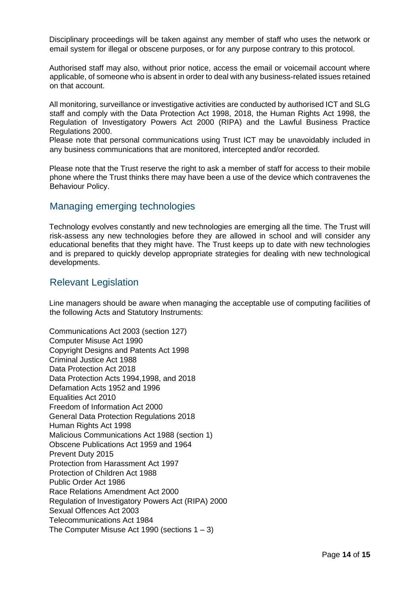Disciplinary proceedings will be taken against any member of staff who uses the network or email system for illegal or obscene purposes, or for any purpose contrary to this protocol.

Authorised staff may also, without prior notice, access the email or voicemail account where applicable, of someone who is absent in order to deal with any business-related issues retained on that account.

All monitoring, surveillance or investigative activities are conducted by authorised ICT and SLG staff and comply with the Data Protection Act 1998, 2018, the Human Rights Act 1998, the Regulation of Investigatory Powers Act 2000 (RIPA) and the Lawful Business Practice Regulations 2000.

Please note that personal communications using Trust ICT may be unavoidably included in any business communications that are monitored, intercepted and/or recorded.

Please note that the Trust reserve the right to ask a member of staff for access to their mobile phone where the Trust thinks there may have been a use of the device which contravenes the Behaviour Policy.

### <span id="page-13-0"></span>Managing emerging technologies

Technology evolves constantly and new technologies are emerging all the time. The Trust will risk-assess any new technologies before they are allowed in school and will consider any educational benefits that they might have. The Trust keeps up to date with new technologies and is prepared to quickly develop appropriate strategies for dealing with new technological developments.

### <span id="page-13-1"></span>Relevant Legislation

Line managers should be aware when managing the acceptable use of computing facilities of the following Acts and Statutory Instruments:

Communications Act 2003 (section 127) Computer Misuse Act 1990 Copyright Designs and Patents Act 1998 Criminal Justice Act 1988 Data Protection Act 2018 Data Protection Acts 1994,1998, and 2018 Defamation Acts 1952 and 1996 Equalities Act 2010 Freedom of Information Act 2000 General Data Protection Regulations 2018 Human Rights Act 1998 Malicious Communications Act 1988 (section 1) Obscene Publications Act 1959 and 1964 Prevent Duty 2015 Protection from Harassment Act 1997 Protection of Children Act 1988 Public Order Act 1986 Race Relations Amendment Act 2000 Regulation of Investigatory Powers Act (RIPA) 2000 Sexual Offences Act 2003 Telecommunications Act 1984 The Computer Misuse Act 1990 (sections  $1 - 3$ )